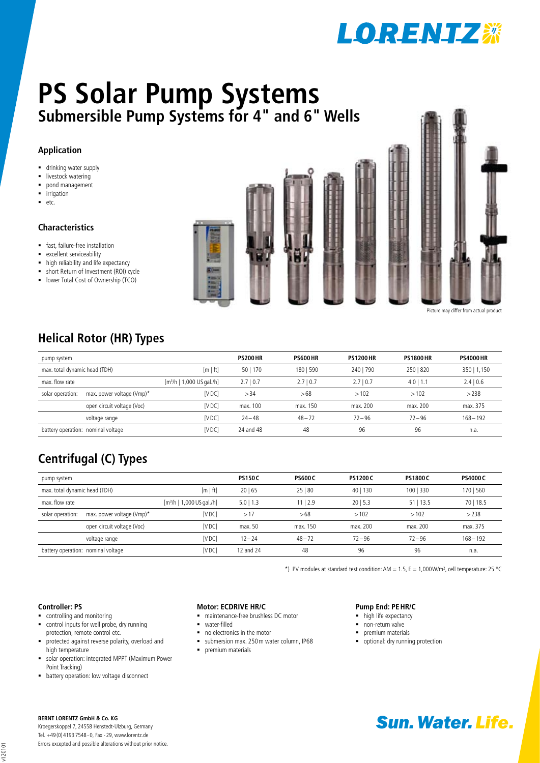

# **Submersible Pump Systems for 4" and 6" Wells PS Solar Pump Systems**

### **Application**

- **drinking water supply**
- **I** livestock watering
- pond management
- $\blacksquare$  irrigation
- $e$

### **Characteristics**

- fast, failure-free installation
- **EXCELLENT SERVICEABIlity**
- high reliability and life expectancy
- short Return of Investment (ROI) cycle
- **-** lower Total Cost of Ownership (TCO)



### **Helical Rotor (HR) Types**

| pump system                                       |                            |                                       | <b>PS200 HR</b> | <b>PS600 HR</b> | <b>PS1200 HR</b> | <b>PS1800 HR</b> | <b>PS4000 HR</b> |
|---------------------------------------------------|----------------------------|---------------------------------------|-----------------|-----------------|------------------|------------------|------------------|
| max. total dynamic head (TDH)                     |                            | [m   ft]                              | 50   170        | 180   590       | 240   790        | 250   820        | 350   1,150      |
| max. flow rate                                    |                            | [m <sup>3</sup> /h   1,000 US gal./h] | 2.710.7         | 2.710.7         | 2.710.7          | 4.0<br>1.1       | 2.4   0.6        |
| solar operation:                                  | max. power voltage (Vmp)*  | [VDC]                                 | >34             | >68             | >102             | >102             | >238             |
|                                                   | open circuit voltage (Voc) | <b>IVDC</b>                           | max. 100        | max. 150        | max. 200         | max. 200         | max. 375         |
|                                                   | voltage range              | <b>IVDC</b>                           | $24 - 48$       | $48 - 72$       | $72 - 96$        | $72 - 96$        | $168 - 192$      |
| <b>IVDC</b><br>battery operation: nominal voltage |                            | 24 and 48                             | 48              | 96              | 96               | n.a.             |                  |

### **Centrifugal (C) Types**

| pump system                                 |                            | <b>PS150C</b>                         | <b>PS600C</b> | <b>PS1200C</b> | <b>PS1800 C</b>        | <b>PS4000 C</b> |             |
|---------------------------------------------|----------------------------|---------------------------------------|---------------|----------------|------------------------|-----------------|-------------|
| max. total dynamic head (TDH)               |                            | [m   ft]                              | 20 65         | 25 80          | 40 <sub>1</sub><br>130 | 100   330       | 170   560   |
| max. flow rate                              |                            | [m <sup>3</sup> /h   1,000 US gal./h] | $5.0$   1.3   | 1112.9         | 2015.3                 | $51$   13.5     | 70   18.5   |
| solar operation:                            | max. power voltage (Vmp)*  | IV DC 1                               | >17           | >68            | >102                   | >102            | >238        |
|                                             | open circuit voltage (Voc) | [VDC]                                 | max. 50       | max. 150       | max. 200               | max. 200        | max. 375    |
|                                             | voltage range              | IV DC 1                               | $12 - 24$     | $48 - 72$      | $72 - 96$              | $72 - 96$       | $168 - 192$ |
| [VDC]<br>battery operation: nominal voltage |                            | 12 and 24                             | 48            | 96             | 96                     | n.a.            |             |

\*) PV modules at standard test condition: AM = 1.5, E = 1,000W/m<sup>2</sup>, cell temperature: 25 °C

### **Controller: PS**

- controlling and monitoring
- control inputs for well probe, dry running protection, remote control etc.
- protected against reverse polarity, overload and high temperature
- solar operation: integrated MPPT (Maximum Power Point Tracking)
- **•** battery operation: low voltage disconnect

### **Motor: ECDrive HR/C**

- maintenance-free brushless DC motor
- water-filled
- no electronics in the motor
- submersion max. 250m water column, IP68
- $\blacksquare$  premium materials

### **Pump End: PEHR/C**

- high life expectancy
- non-return valve
- premium materials
- optional: dry running protection

v120101

Kroegerskoppel 7, 24558 Henstedt-Ulzburg, Germany Tel. +49 (0) 4193 7548 - 0, Fax - 29, www.lorentz.de Errors excepted and possible alterations without prior notice.

## **BERNT LORENTZ GmbH & Co. KG**<br>Kroegerskoppel 7. 24558 Henstedt-Ulzburg. Germany